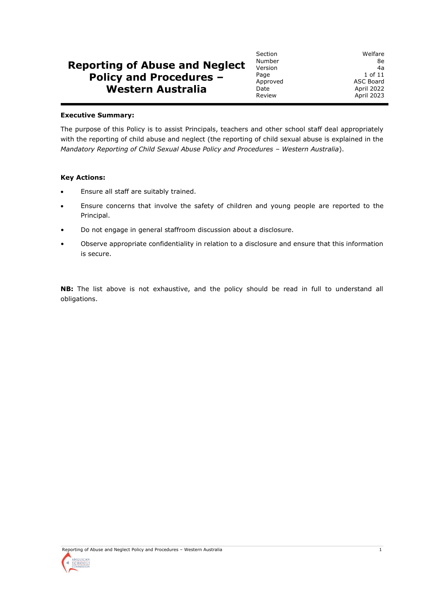# **Reporting of Abuse and Neglect Policy and Procedures – Western Australia**

Number 8e<br>Version 4a Version<br>Page Date April 2022<br>Review **April 2023** 

Section Welfare Page 1 of 11<br>Approved 2 ASC Board Approved ASC Board April 2023

#### **Executive Summary:**

The purpose of this Policy is to assist Principals, teachers and other school staff deal appropriately with the reporting of child abuse and neglect (the reporting of child sexual abuse is explained in the *Mandatory Reporting of Child Sexual Abuse Policy and Procedures – Western Australia*).

#### **Key Actions:**

- Ensure all staff are suitably trained.
- Ensure concerns that involve the safety of children and young people are reported to the Principal.
- Do not engage in general staffroom discussion about a disclosure.
- Observe appropriate confidentiality in relation to a disclosure and ensure that this information is secure.

**NB:** The list above is not exhaustive, and the policy should be read in full to understand all obligations.

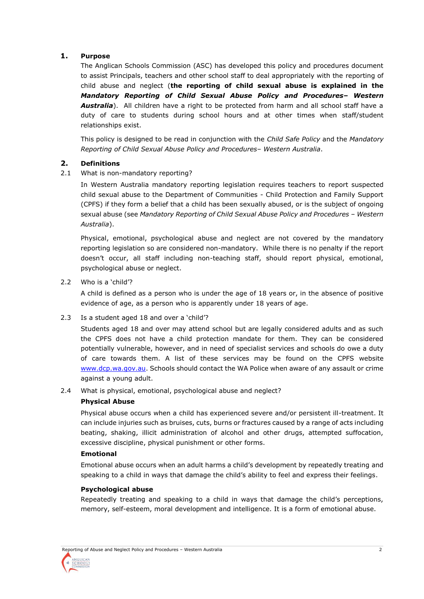# **1. Purpose**

The Anglican Schools Commission (ASC) has developed this policy and procedures document to assist Principals, teachers and other school staff to deal appropriately with the reporting of child abuse and neglect (**the reporting of child sexual abuse is explained in the**  *Mandatory Reporting of Child Sexual Abuse Policy and Procedures– Western Australia*). All children have a right to be protected from harm and all school staff have a duty of care to students during school hours and at other times when staff/student relationships exist.

This policy is designed to be read in conjunction with the *Child Safe Policy* and the *Mandatory Reporting of Child Sexual Abuse Policy and Procedures– Western Australia*.

# **2. Definitions**

2.1 What is non-mandatory reporting?

In Western Australia mandatory reporting legislation requires teachers to report suspected child sexual abuse to the Department of Communities - Child Protection and Family Support (CPFS) if they form a belief that a child has been sexually abused, or is the subject of ongoing sexual abuse (see *Mandatory Reporting of Child Sexual Abuse Policy and Procedures – Western Australia*).

Physical, emotional, psychological abuse and neglect are not covered by the mandatory reporting legislation so are considered non-mandatory. While there is no penalty if the report doesn't occur, all staff including non-teaching staff, should report physical, emotional, psychological abuse or neglect.

2.2 Who is a 'child'?

A child is defined as a person who is under the age of 18 years or, in the absence of positive evidence of age, as a person who is apparently under 18 years of age.

2.3 Is a student aged 18 and over a 'child'?

Students aged 18 and over may attend school but are legally considered adults and as such the CPFS does not have a child protection mandate for them. They can be considered potentially vulnerable, however, and in need of specialist services and schools do owe a duty of care towards them. A list of these services may be found on the CPFS website [www.dcp.wa.gov.au.](http://www.dcp.wa.gov.au/) Schools should contact the WA Police when aware of any assault or crime against a young adult.

2.4 What is physical, emotional, psychological abuse and neglect?

## **Physical Abuse**

Physical abuse occurs when a child has experienced severe and/or persistent ill-treatment. It can include injuries such as bruises, cuts, burns or fractures caused by a range of acts including beating, shaking, illicit administration of alcohol and other drugs, attempted suffocation, excessive discipline, physical punishment or other forms.

## **Emotional**

Emotional abuse occurs when an adult harms a child's development by repeatedly treating and speaking to a child in ways that damage the child's ability to feel and express their feelings.

## **Psychological abuse**

Repeatedly treating and speaking to a child in ways that damage the child's perceptions, memory, self-esteem, moral development and intelligence. It is a form of emotional abuse.

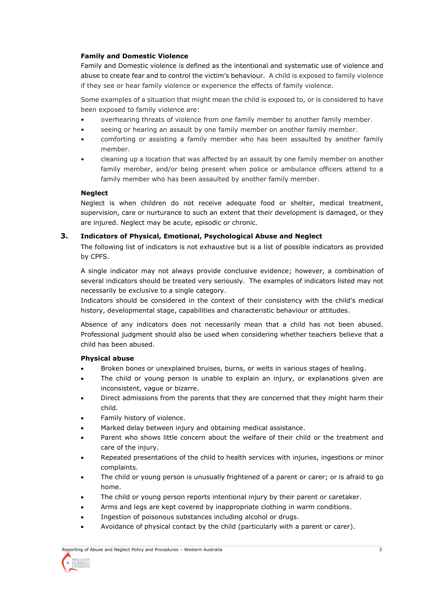# **Family and Domestic Violence**

Family and Domestic violence is defined as the intentional and systematic use of violence and abuse to create fear and to control the victim's behaviour. A child is exposed to family violence if they see or hear family violence or experience the effects of family violence.

Some examples of a situation that might mean the child is exposed to, or is considered to have been exposed to family violence are:

- overhearing threats of violence from one family member to another family member.
- seeing or hearing an assault by one family member on another family member.
- comforting or assisting a family member who has been assaulted by another family member.
- cleaning up a location that was affected by an assault by one family member on another family member, and/or being present when police or ambulance officers attend to a family member who has been assaulted by another family member.

## **Neglect**

Neglect is when children do not receive adequate food or shelter, medical treatment, supervision, care or nurturance to such an extent that their development is damaged, or they are injured. Neglect may be acute, episodic or chronic.

# **3. Indicators of Physical, Emotional, Psychological Abuse and Neglect**

The following list of indicators is not exhaustive but is a list of possible indicators as provided by CPFS.

A single indicator may not always provide conclusive evidence; however, a combination of several indicators should be treated very seriously. The examples of indicators listed may not necessarily be exclusive to a single category.

Indicators should be considered in the context of their consistency with the child's medical history, developmental stage, capabilities and characteristic behaviour or attitudes.

Absence of any indicators does not necessarily mean that a child has not been abused. Professional judgment should also be used when considering whether teachers believe that a child has been abused.

## **Physical abuse**

- Broken bones or unexplained bruises, burns, or welts in various stages of healing.
- The child or young person is unable to explain an injury, or explanations given are inconsistent, vague or bizarre.
- Direct admissions from the parents that they are concerned that they might harm their child.
- Family history of violence.
- Marked delay between injury and obtaining medical assistance.
- Parent who shows little concern about the welfare of their child or the treatment and care of the injury.
- Repeated presentations of the child to health services with injuries, ingestions or minor complaints.
- The child or young person is unusually frightened of a parent or carer; or is afraid to go home.
- The child or young person reports intentional injury by their parent or caretaker.
- Arms and legs are kept covered by inappropriate clothing in warm conditions.
- Ingestion of poisonous substances including alcohol or drugs.
- Avoidance of physical contact by the child (particularly with a parent or carer).

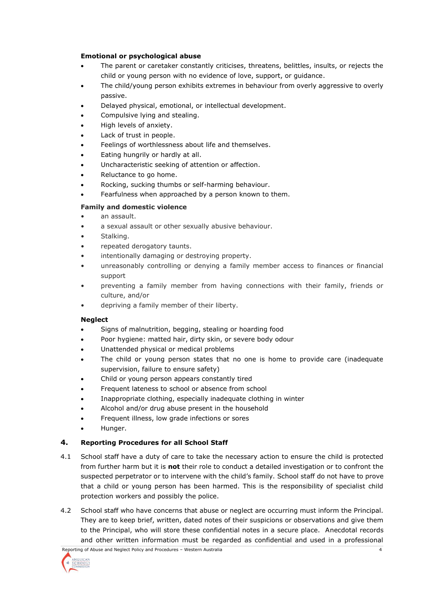# **Emotional or psychological abuse**

- The parent or caretaker constantly criticises, threatens, belittles, insults, or rejects the child or young person with no evidence of love, support, or guidance.
- The child/young person exhibits extremes in behaviour from overly aggressive to overly passive.
- Delayed physical, emotional, or intellectual development.
- Compulsive lying and stealing.
- High levels of anxiety.
- Lack of trust in people.
- Feelings of worthlessness about life and themselves.
- Eating hungrily or hardly at all.
- Uncharacteristic seeking of attention or affection.
- Reluctance to go home.
- Rocking, sucking thumbs or self-harming behaviour.
- Fearfulness when approached by a person known to them.

# **Family and domestic violence**

- an assault.
- a sexual assault or other sexually abusive behaviour.
- Stalking.
- repeated derogatory taunts.
- intentionally damaging or destroying property.
- unreasonably controlling or denying a family member access to finances or financial support
- preventing a family member from having connections with their family, friends or culture, and/or
- depriving a family member of their liberty.

## **Neglect**

- Signs of malnutrition, begging, stealing or hoarding food
- Poor hygiene: matted hair, dirty skin, or severe body odour
- Unattended physical or medical problems
- The child or young person states that no one is home to provide care (inadequate supervision, failure to ensure safety)
- Child or young person appears constantly tired
- Frequent lateness to school or absence from school
- Inappropriate clothing, especially inadequate clothing in winter
- Alcohol and/or drug abuse present in the household
- Frequent illness, low grade infections or sores
- Hunger.

# **4. Reporting Procedures for all School Staff**

- 4.1 School staff have a duty of care to take the necessary action to ensure the child is protected from further harm but it is **not** their role to conduct a detailed investigation or to confront the suspected perpetrator or to intervene with the child's family. School staff do not have to prove that a child or young person has been harmed. This is the responsibility of specialist child protection workers and possibly the police.
- 4.2 School staff who have concerns that abuse or neglect are occurring must inform the Principal. They are to keep brief, written, dated notes of their suspicions or observations and give them to the Principal, who will store these confidential notes in a secure place. Anecdotal records and other written information must be regarded as confidential and used in a professional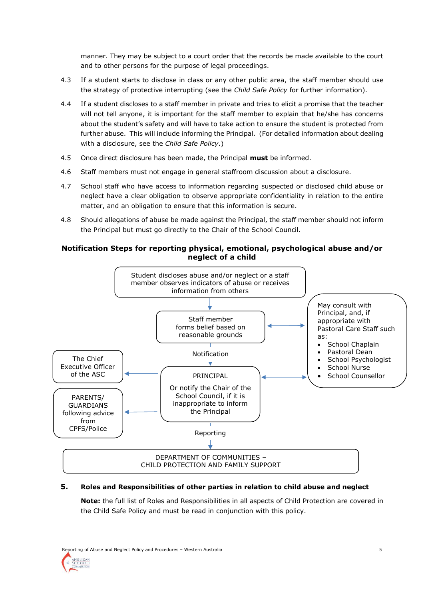manner. They may be subject to a court order that the records be made available to the court and to other persons for the purpose of legal proceedings.

- 4.3 If a student starts to disclose in class or any other public area, the staff member should use the strategy of protective interrupting (see the *Child Safe Policy* for further information).
- 4.4 If a student discloses to a staff member in private and tries to elicit a promise that the teacher will not tell anyone, it is important for the staff member to explain that he/she has concerns about the student's safety and will have to take action to ensure the student is protected from further abuse. This will include informing the Principal. (For detailed information about dealing with a disclosure, see the *Child Safe Policy*.)
- 4.5 Once direct disclosure has been made, the Principal **must** be informed.
- 4.6 Staff members must not engage in general staffroom discussion about a disclosure.
- 4.7 School staff who have access to information regarding suspected or disclosed child abuse or neglect have a clear obligation to observe appropriate confidentiality in relation to the entire matter, and an obligation to ensure that this information is secure.
- 4.8 Should allegations of abuse be made against the Principal, the staff member should not inform the Principal but must go directly to the Chair of the School Council.

# **Notification Steps for reporting physical, emotional, psychological abuse and/or neglect of a child**



## **5. Roles and Responsibilities of other parties in relation to child abuse and neglect**

**Note:** the full list of Roles and Responsibilities in all aspects of Child Protection are covered in the Child Safe Policy and must be read in conjunction with this policy.

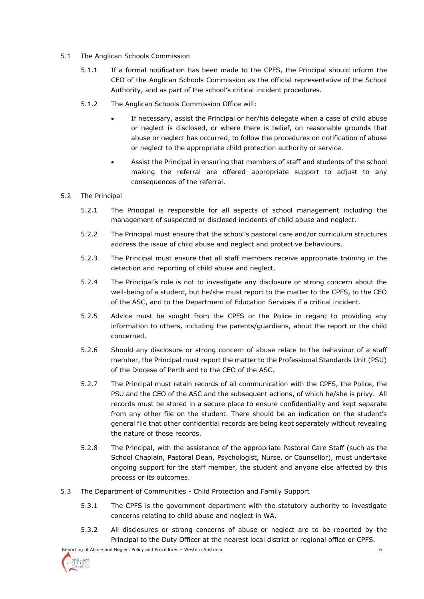- 5.1 The Anglican Schools Commission
	- 5.1.1 If a formal notification has been made to the CPFS, the Principal should inform the CEO of the Anglican Schools Commission as the official representative of the School Authority, and as part of the school's critical incident procedures.
	- 5.1.2 The Anglican Schools Commission Office will:
		- If necessary, assist the Principal or her/his delegate when a case of child abuse or neglect is disclosed, or where there is belief, on reasonable grounds that abuse or neglect has occurred, to follow the procedures on notification of abuse or neglect to the appropriate child protection authority or service.
		- Assist the Principal in ensuring that members of staff and students of the school making the referral are offered appropriate support to adjust to any consequences of the referral.

## 5.2 The Principal

- 5.2.1 The Principal is responsible for all aspects of school management including the management of suspected or disclosed incidents of child abuse and neglect.
- 5.2.2 The Principal must ensure that the school's pastoral care and/or curriculum structures address the issue of child abuse and neglect and protective behaviours.
- 5.2.3 The Principal must ensure that all staff members receive appropriate training in the detection and reporting of child abuse and neglect.
- 5.2.4 The Principal's role is not to investigate any disclosure or strong concern about the well-being of a student, but he/she must report to the matter to the CPFS, to the CEO of the ASC, and to the Department of Education Services if a critical incident.
- 5.2.5 Advice must be sought from the CPFS or the Police in regard to providing any information to others, including the parents/guardians, about the report or the child concerned.
- 5.2.6 Should any disclosure or strong concern of abuse relate to the behaviour of a staff member, the Principal must report the matter to the Professional Standards Unit (PSU) of the Diocese of Perth and to the CEO of the ASC.
- 5.2.7 The Principal must retain records of all communication with the CPFS, the Police, the PSU and the CEO of the ASC and the subsequent actions, of which he/she is privy. All records must be stored in a secure place to ensure confidentiality and kept separate from any other file on the student. There should be an indication on the student's general file that other confidential records are being kept separately without revealing the nature of those records.
- 5.2.8 The Principal, with the assistance of the appropriate Pastoral Care Staff (such as the School Chaplain, Pastoral Dean, Psychologist, Nurse, or Counsellor), must undertake ongoing support for the staff member, the student and anyone else affected by this process or its outcomes.
- 5.3 The Department of Communities Child Protection and Family Support
	- 5.3.1 The CPFS is the government department with the statutory authority to investigate concerns relating to child abuse and neglect in WA.
	- 5.3.2 All disclosures or strong concerns of abuse or neglect are to be reported by the Principal to the Duty Officer at the nearest local district or regional office or CPFS.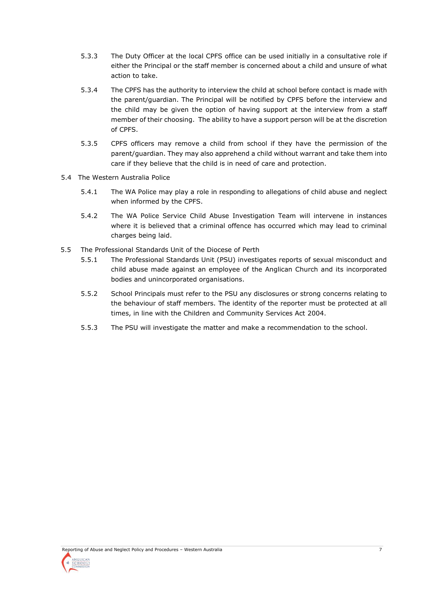- 5.3.3 The Duty Officer at the local CPFS office can be used initially in a consultative role if either the Principal or the staff member is concerned about a child and unsure of what action to take.
- 5.3.4 The CPFS has the authority to interview the child at school before contact is made with the parent/guardian. The Principal will be notified by CPFS before the interview and the child may be given the option of having support at the interview from a staff member of their choosing. The ability to have a support person will be at the discretion of CPFS.
- 5.3.5 CPFS officers may remove a child from school if they have the permission of the parent/guardian. They may also apprehend a child without warrant and take them into care if they believe that the child is in need of care and protection.
- 5.4 The Western Australia Police
	- 5.4.1 The WA Police may play a role in responding to allegations of child abuse and neglect when informed by the CPFS.
	- 5.4.2 The WA Police Service Child Abuse Investigation Team will intervene in instances where it is believed that a criminal offence has occurred which may lead to criminal charges being laid.
- 5.5 The Professional Standards Unit of the Diocese of Perth
	- 5.5.1 The Professional Standards Unit (PSU) investigates reports of sexual misconduct and child abuse made against an employee of the Anglican Church and its incorporated bodies and unincorporated organisations.
	- 5.5.2 School Principals must refer to the PSU any disclosures or strong concerns relating to the behaviour of staff members. The identity of the reporter must be protected at all times, in line with the Children and Community Services Act 2004.
	- 5.5.3 The PSU will investigate the matter and make a recommendation to the school.

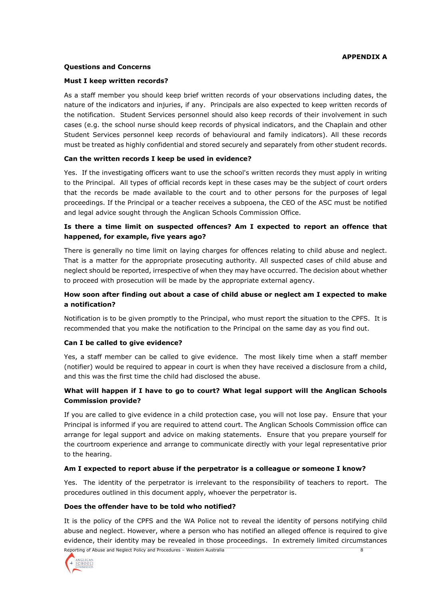## **APPENDIX A**

#### **Questions and Concerns**

#### **Must I keep written records?**

As a staff member you should keep brief written records of your observations including dates, the nature of the indicators and injuries, if any. Principals are also expected to keep written records of the notification. Student Services personnel should also keep records of their involvement in such cases (e.g. the school nurse should keep records of physical indicators, and the Chaplain and other Student Services personnel keep records of behavioural and family indicators). All these records must be treated as highly confidential and stored securely and separately from other student records.

#### **Can the written records I keep be used in evidence?**

Yes. If the investigating officers want to use the school's written records they must apply in writing to the Principal. All types of official records kept in these cases may be the subject of court orders that the records be made available to the court and to other persons for the purposes of legal proceedings. If the Principal or a teacher receives a subpoena, the CEO of the ASC must be notified and legal advice sought through the Anglican Schools Commission Office.

# **Is there a time limit on suspected offences? Am I expected to report an offence that happened, for example, five years ago?**

There is generally no time limit on laying charges for offences relating to child abuse and neglect. That is a matter for the appropriate prosecuting authority. All suspected cases of child abuse and neglect should be reported, irrespective of when they may have occurred. The decision about whether to proceed with prosecution will be made by the appropriate external agency.

# **How soon after finding out about a case of child abuse or neglect am I expected to make a notification?**

Notification is to be given promptly to the Principal, who must report the situation to the CPFS. It is recommended that you make the notification to the Principal on the same day as you find out.

## **Can I be called to give evidence?**

Yes, a staff member can be called to give evidence. The most likely time when a staff member (notifier) would be required to appear in court is when they have received a disclosure from a child, and this was the first time the child had disclosed the abuse.

# **What will happen if I have to go to court? What legal support will the Anglican Schools Commission provide?**

If you are called to give evidence in a child protection case, you will not lose pay. Ensure that your Principal is informed if you are required to attend court. The Anglican Schools Commission office can arrange for legal support and advice on making statements. Ensure that you prepare yourself for the courtroom experience and arrange to communicate directly with your legal representative prior to the hearing.

## **Am I expected to report abuse if the perpetrator is a colleague or someone I know?**

Yes. The identity of the perpetrator is irrelevant to the responsibility of teachers to report. The procedures outlined in this document apply, whoever the perpetrator is.

#### **Does the offender have to be told who notified?**

It is the policy of the CPFS and the WA Police not to reveal the identity of persons notifying child abuse and neglect. However, where a person who has notified an alleged offence is required to give evidence, their identity may be revealed in those proceedings. In extremely limited circumstances

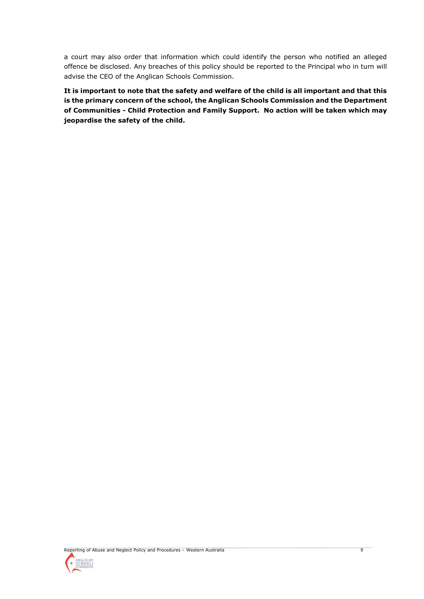a court may also order that information which could identify the person who notified an alleged offence be disclosed. Any breaches of this policy should be reported to the Principal who in turn will advise the CEO of the Anglican Schools Commission.

**It is important to note that the safety and welfare of the child is all important and that this is the primary concern of the school, the Anglican Schools Commission and the Department of Communities - Child Protection and Family Support. No action will be taken which may jeopardise the safety of the child.**

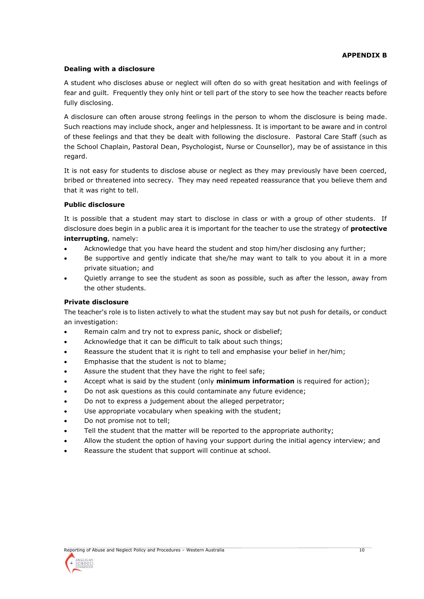# **APPENDIX B**

# **Dealing with a disclosure**

A student who discloses abuse or neglect will often do so with great hesitation and with feelings of fear and guilt. Frequently they only hint or tell part of the story to see how the teacher reacts before fully disclosing.

A disclosure can often arouse strong feelings in the person to whom the disclosure is being made. Such reactions may include shock, anger and helplessness. It is important to be aware and in control of these feelings and that they be dealt with following the disclosure. Pastoral Care Staff (such as the School Chaplain, Pastoral Dean, Psychologist, Nurse or Counsellor), may be of assistance in this regard.

It is not easy for students to disclose abuse or neglect as they may previously have been coerced, bribed or threatened into secrecy. They may need repeated reassurance that you believe them and that it was right to tell.

## **Public disclosure**

It is possible that a student may start to disclose in class or with a group of other students. If disclosure does begin in a public area it is important for the teacher to use the strategy of **protective interrupting**, namely:

- Acknowledge that you have heard the student and stop him/her disclosing any further;
- Be supportive and gently indicate that she/he may want to talk to you about it in a more private situation; and
- Quietly arrange to see the student as soon as possible, such as after the lesson, away from the other students.

## **Private disclosure**

The teacher's role is to listen actively to what the student may say but not push for details, or conduct an investigation:

- Remain calm and try not to express panic, shock or disbelief;
- Acknowledge that it can be difficult to talk about such things;
- Reassure the student that it is right to tell and emphasise your belief in her/him;
- Emphasise that the student is not to blame;
- Assure the student that they have the right to feel safe;
- Accept what is said by the student (only **minimum information** is required for action);
- Do not ask questions as this could contaminate any future evidence;
- Do not to express a judgement about the alleged perpetrator;
- Use appropriate vocabulary when speaking with the student;
- Do not promise not to tell:
- Tell the student that the matter will be reported to the appropriate authority;
- Allow the student the option of having your support during the initial agency interview; and
- Reassure the student that support will continue at school.